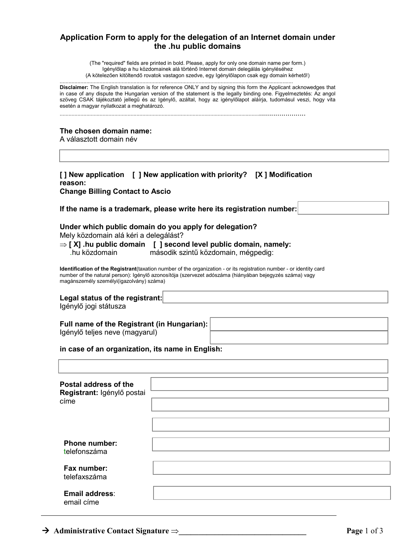# **Application Form to apply for the delegation of an Internet domain under the .hu public domains**

(The "required" fields are printed in bold. Please, apply for only one domain name per form.) Igénylőlap a hu közdomainek alá történő Internet domain delegálás igényléséhez (A kötelezően kitöltendő rovatok vastagon szedve, egy Igénylőlapon csak egy domain kérhető!)

| <b>Disclaimer:</b> The English translation is for reference ONLY and by signing this form the Applicant acknowedges that<br>in case of any dispute the Hungarian version of the statement is the legally binding one. Figyelmeztetés: Az angol<br>szöveg CSAK tájékoztató jellegű és az Igénylő, azáltal, hogy az igénylőlapot aláírja, tudomásul veszi, hogy vita<br>esetén a magyar nyilatkozat a meghatározó. |                                                                                                                                                                                                                                                                                                                                                                                                                 |  |  |  |
|------------------------------------------------------------------------------------------------------------------------------------------------------------------------------------------------------------------------------------------------------------------------------------------------------------------------------------------------------------------------------------------------------------------|-----------------------------------------------------------------------------------------------------------------------------------------------------------------------------------------------------------------------------------------------------------------------------------------------------------------------------------------------------------------------------------------------------------------|--|--|--|
| The chosen domain name:<br>A választott domain név                                                                                                                                                                                                                                                                                                                                                               |                                                                                                                                                                                                                                                                                                                                                                                                                 |  |  |  |
| reason:<br><b>Change Billing Contact to Ascio</b>                                                                                                                                                                                                                                                                                                                                                                | [] New application [ ] New application with priority? [X ] Modification                                                                                                                                                                                                                                                                                                                                         |  |  |  |
|                                                                                                                                                                                                                                                                                                                                                                                                                  | If the name is a trademark, please write here its registration number:                                                                                                                                                                                                                                                                                                                                          |  |  |  |
| Mely közdomain alá kéri a delegálást?<br>.hu közdomain                                                                                                                                                                                                                                                                                                                                                           | Under which public domain do you apply for delegation?<br>$\Rightarrow$ [X] .hu public domain [ ] second level public domain, namely:<br>második szintű közdomain, mégpedig:<br>Identification of the Registrant(taxation number of the organization - or its registration number - or identity card<br>number of the natural person): Igénylő azonosítója (szervezet adószáma (hiányában bejegyzés száma) vagy |  |  |  |
| magánszemély személyi(igazolvány) száma)                                                                                                                                                                                                                                                                                                                                                                         |                                                                                                                                                                                                                                                                                                                                                                                                                 |  |  |  |
| Legal status of the registrant:<br>Igénylő jogi státusza                                                                                                                                                                                                                                                                                                                                                         |                                                                                                                                                                                                                                                                                                                                                                                                                 |  |  |  |
| Full name of the Registrant (in Hungarian):<br>Igénylő teljes neve (magyarul)                                                                                                                                                                                                                                                                                                                                    |                                                                                                                                                                                                                                                                                                                                                                                                                 |  |  |  |
| in case of an organization, its name in English:                                                                                                                                                                                                                                                                                                                                                                 |                                                                                                                                                                                                                                                                                                                                                                                                                 |  |  |  |
|                                                                                                                                                                                                                                                                                                                                                                                                                  |                                                                                                                                                                                                                                                                                                                                                                                                                 |  |  |  |
| Postal address of the<br>Registrant: Igénylő postai<br>címe                                                                                                                                                                                                                                                                                                                                                      |                                                                                                                                                                                                                                                                                                                                                                                                                 |  |  |  |
|                                                                                                                                                                                                                                                                                                                                                                                                                  |                                                                                                                                                                                                                                                                                                                                                                                                                 |  |  |  |
|                                                                                                                                                                                                                                                                                                                                                                                                                  |                                                                                                                                                                                                                                                                                                                                                                                                                 |  |  |  |
| <b>Phone number:</b><br>telefonszáma                                                                                                                                                                                                                                                                                                                                                                             |                                                                                                                                                                                                                                                                                                                                                                                                                 |  |  |  |
| Fax number:<br>telefaxszáma                                                                                                                                                                                                                                                                                                                                                                                      |                                                                                                                                                                                                                                                                                                                                                                                                                 |  |  |  |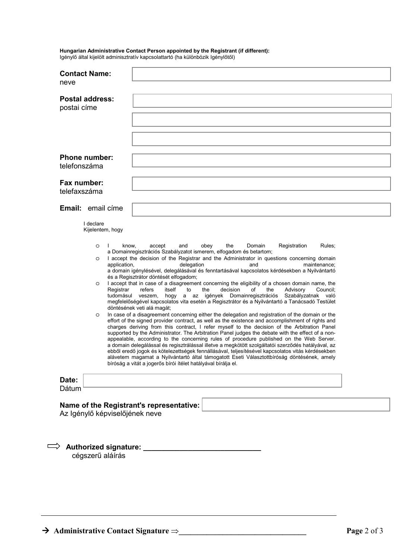### **Hungarian Administrative Contact Person appointed by the Registrant (if different):**

Igénylő által kijelölt adminisztratív kapcsolattartó (ha különbözik Igénylőtől)

| <b>Postal address:</b><br>postai címe<br><b>Phone number:</b><br>telefonszáma<br>Fax number:<br>telefaxszáma<br><b>Email:</b> email cime<br>I declare<br>Kijelentem, hogy<br>know,<br>$\circ$<br>J.<br>$\circ$<br>application,<br>$\circ$<br>Registrar | obey<br>the<br>Registration<br>Rules;<br>accept<br>and<br>Domain<br>a Domainregisztrációs Szabályzatot ismerem, elfogadom és betartom;<br>I accept the decision of the Registrar and the Administrator in questions concerning domain<br>delegation<br>and<br>maintenance;<br>a domain igénylésével, delegálásával és fenntartásával kapcsolatos kérdésekben a Nyilvántartó<br>és a Regisztrátor döntését elfogadom;<br>I accept that in case of a disagreement concerning the eligibility of a chosen domain name, the<br>refers<br>itself<br>Council:<br>to<br>the<br>οf                                                                                 |                                                                                                                                                                                                                                                                                                                                                                                                                                                                                                                                                                         |
|--------------------------------------------------------------------------------------------------------------------------------------------------------------------------------------------------------------------------------------------------------|------------------------------------------------------------------------------------------------------------------------------------------------------------------------------------------------------------------------------------------------------------------------------------------------------------------------------------------------------------------------------------------------------------------------------------------------------------------------------------------------------------------------------------------------------------------------------------------------------------------------------------------------------------|-------------------------------------------------------------------------------------------------------------------------------------------------------------------------------------------------------------------------------------------------------------------------------------------------------------------------------------------------------------------------------------------------------------------------------------------------------------------------------------------------------------------------------------------------------------------------|
|                                                                                                                                                                                                                                                        |                                                                                                                                                                                                                                                                                                                                                                                                                                                                                                                                                                                                                                                            |                                                                                                                                                                                                                                                                                                                                                                                                                                                                                                                                                                         |
|                                                                                                                                                                                                                                                        |                                                                                                                                                                                                                                                                                                                                                                                                                                                                                                                                                                                                                                                            |                                                                                                                                                                                                                                                                                                                                                                                                                                                                                                                                                                         |
|                                                                                                                                                                                                                                                        |                                                                                                                                                                                                                                                                                                                                                                                                                                                                                                                                                                                                                                                            |                                                                                                                                                                                                                                                                                                                                                                                                                                                                                                                                                                         |
|                                                                                                                                                                                                                                                        |                                                                                                                                                                                                                                                                                                                                                                                                                                                                                                                                                                                                                                                            |                                                                                                                                                                                                                                                                                                                                                                                                                                                                                                                                                                         |
|                                                                                                                                                                                                                                                        |                                                                                                                                                                                                                                                                                                                                                                                                                                                                                                                                                                                                                                                            |                                                                                                                                                                                                                                                                                                                                                                                                                                                                                                                                                                         |
|                                                                                                                                                                                                                                                        |                                                                                                                                                                                                                                                                                                                                                                                                                                                                                                                                                                                                                                                            |                                                                                                                                                                                                                                                                                                                                                                                                                                                                                                                                                                         |
|                                                                                                                                                                                                                                                        |                                                                                                                                                                                                                                                                                                                                                                                                                                                                                                                                                                                                                                                            |                                                                                                                                                                                                                                                                                                                                                                                                                                                                                                                                                                         |
| $\circ$                                                                                                                                                                                                                                                | decision<br>the<br>Advisory<br>hogy a az igények Domainregisztrációs Szabályzatnak való<br>tudomásul veszem,<br>megfelelőségével kapcsolatos vita esetén a Regisztrátor és a Nyilvántartó a Tanácsadó Testület<br>döntésének veti alá magát;<br>In case of a disagreement concerning either the delegation and registration of the domain or the<br>effort of the signed provider contract, as well as the existence and accomplishment of rights and<br>charges deriving from this contract, I refer myself to the decision of the Arbitration Panel<br>supported by the Administrator. The Arbitration Panel judges the debate with the effect of a non- |                                                                                                                                                                                                                                                                                                                                                                                                                                                                                                                                                                         |
|                                                                                                                                                                                                                                                        |                                                                                                                                                                                                                                                                                                                                                                                                                                                                                                                                                                                                                                                            |                                                                                                                                                                                                                                                                                                                                                                                                                                                                                                                                                                         |
|                                                                                                                                                                                                                                                        |                                                                                                                                                                                                                                                                                                                                                                                                                                                                                                                                                                                                                                                            |                                                                                                                                                                                                                                                                                                                                                                                                                                                                                                                                                                         |
|                                                                                                                                                                                                                                                        |                                                                                                                                                                                                                                                                                                                                                                                                                                                                                                                                                                                                                                                            |                                                                                                                                                                                                                                                                                                                                                                                                                                                                                                                                                                         |
|                                                                                                                                                                                                                                                        | cégszerű aláírás                                                                                                                                                                                                                                                                                                                                                                                                                                                                                                                                                                                                                                           | appealable, according to the concerning rules of procedure published on the Web Server.<br>a domain delegálással és regisztrálással illetve a megkötött szolgáltatói szerződés hatályával, az<br>ebből eredő jogok és kötelezettségek fennállásával, teljesítésével kapcsolatos vitás kérdésekben<br>alávetem magamat a Nyilvántartó által támogatott Eseti Választottbíróság döntésének, amely<br>bíróság a vitát a jogerős bírói ítélet hatályával bírálja el.<br>Name of the Registrant's representative:<br>Az Igénylő képviselőjének neve<br>Authorized signature: |